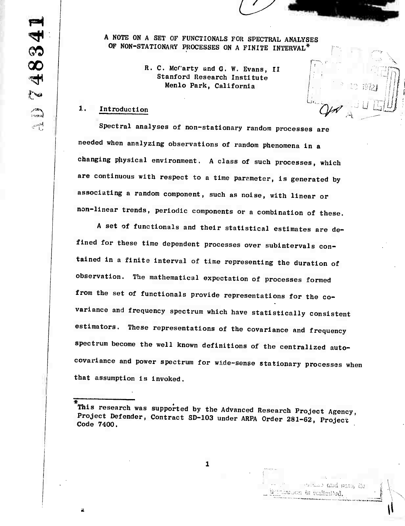**A NOTE ON A SET OF FUNCTIONALS FOR SPECTRAL ANALYSES OF NON-STATIONARY PROCESSES ON A FINITE INTERVAL\***

/

■■■**• \**

, <sup>i</sup> f

*w*

TRING COM ROLL ON

toution to suffering.

**R. C. Mcrarty and G. W. Evans, II Stanford Research Institute Menlo Park, California** 

# $1.$ **Introduction**  $\mathbb{Q}$

**Spectral analyses of non-stationary random processes are needed when analyzing observations of random phenomena in a changing physical environment. A class of such processes, which are continuous with respect to a time parameter, is generated by associating a random component, such as noise, with linear or non-linear trends, periodic components or a combination of these.**

**A set of functionals and their statistical estimates are defined for these time dependent processes over subintervals contained in a finite interval of time representing the duration of observation. The mathematical expectation of processes formed from the set of functionals provide representations for the covariance and frequency spectrum which have statistically consistent estimators. These representations of the covariance and frequency spectrum become the well known definitions of the centralized autocovariance and power spectrum for wide-sense stationary processes when that assumption is invoked.**

 $\mathbf{1}$ 

**This research was supported by the Advanced Research Project Agency Project Defender, Contract SD-103 under ARPA Order 281-62. Prelect ' Code 7400.**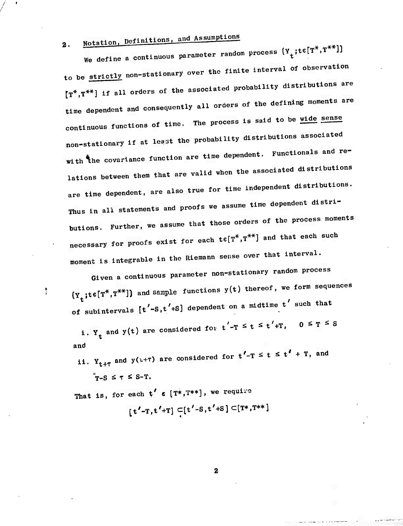### Notation, Definitions, and Assumptions  $2.$

We define a continuous parameter random process  $\{Y_t; t \in [T^*, T^{**}]\}$ to be strictly non-stationary over the finite interval of observation  $[T^*,T^{**}]$  if all orders of the associated probability distributions are time dependent and consequently all orders of the defining moments are continuous functions of time. The process is said to be wide sense non-stationary if at least the probability distributions associated with the covariance function are time dependent. Functionals and relations between them that are valid when the associated distributions are time dependent, are also true for time independent distributions. Thus in all statements and proofs we assume time dependent distributions. Further, we assume that those orders of the process moments necessary for proofs exist for each  $t \in [T^*,T^{**}]$  and that each such moment is integrable in the Riemann sense over that interval.

Given a continuous parameter non-stationary random process  $\{Y_{+};t\in[T^*,T^{**}]\}$  and sample functions  $y(t)$  thereof, we form sequences of subintervals  $[t'-s,t'+s]$  dependent on a midtime  $t'$  such that

i. Y<sub>t</sub> and y(t) are considered for  $t'-T \leq t \leq t'+T$ ,  $0 \leq T \leq S$ and

ii.  $Y_{t+\tau}$  and  $y(t+\tau)$  are considered for  $t'-T \leq t \leq t' + T$ , and  $r-S \leq \tau \leq S-T$ .

That is, for each  $t' \in [T^*,T^{**}]$ , we require

ŧ

 $[t'-T, t'+T] \subset [t'-S, t'+S] \subset [T*, T^{**}]$ 

 $\boldsymbol{2}$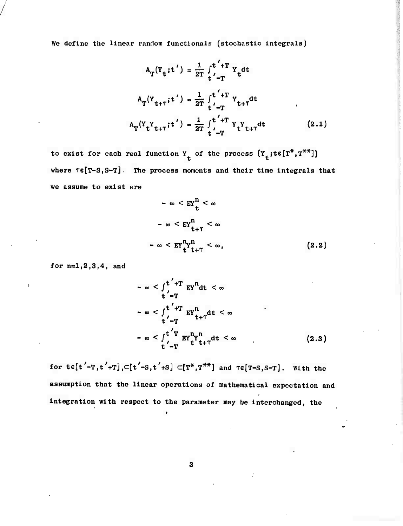**We define the linear random functlonals (stochastic Integrals)**

$$
A_{T}(Y_{t}; t') = \frac{1}{2T} \int_{t'-T}^{t'+T} Y_{t} dt
$$
  
\n
$$
A_{T}(Y_{t+T}; t') = \frac{1}{2T} \int_{t'-T}^{t'+T} Y_{t+T} dt
$$
  
\n
$$
A_{T}(Y_{t}Y_{t+T}; t') = \frac{1}{2T} \int_{t'-T}^{t'+T} Y_{t}Y_{t+T} dt
$$
 (2.1)

**to exist for each real function Y of the process (Y ;te[T\*,T\*\*]) t t where Te[T-S,S-T] . The process moments and their time Integrals that we assume to exist are**

$$
-\infty < \operatorname{EY}_{t}^{n} < \infty
$$
\n
$$
-\infty < \operatorname{EY}_{t+\tau}^{n} < \infty
$$
\n
$$
-\infty < \operatorname{EY}_{t+\tau}^{n} < \infty, \tag{2.2}
$$

**for n:=l,2,3,4l and**

$$
-\infty < \int_{t}^{t} + T \operatorname{EY}^{n} dt < \infty
$$
  
\n
$$
-\infty < \int_{t}^{t} + T \operatorname{EY}^{n} t + \tau dt < \infty
$$
  
\n
$$
-\infty < \int_{t}^{t} \operatorname{EY}^{n} t + \tau dt < \infty
$$
  
\n
$$
-\infty < \int_{t}^{t} \operatorname{EY}^{n} t^{n} t + \tau dt < \infty
$$
 (2.3)

for  $\mathbf{t}\in[t'-T,t'+T],\subset[t'-S,t'+S]\subset[T^*,T^{**}]$  and  $\mathbf{t}\in[T-S,S-T].$  With the **assumption that the linear operations of mathematical expectation and integration with respect to the parameter may** *be* **interchanged, the**

 $\mathbf{3}$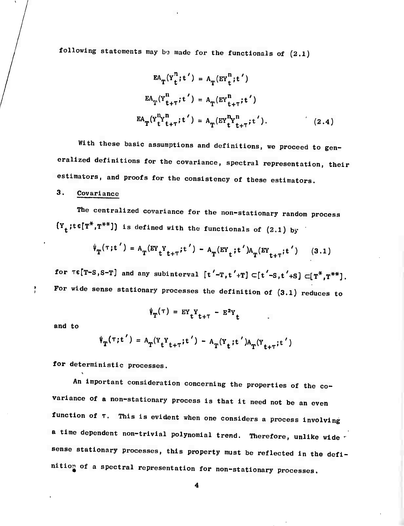**following statements may IKJ made for the functionals of (2.1)**

$$
EA_T(Y_t^n; t') = A_T(EY_t^n; t')
$$
  
\n
$$
EA_T(Y_{t+\tau}^n; t') = A_T(EY_{t+\tau}^n; t')
$$
  
\n
$$
EA_T(Y_t^n t_{t+\tau}^n; t') = A_T(EY_t^n t_{t+\tau}^n; t').
$$
\n(2.4)

**With these basic assumptions and definitions, we proceed to generalized definitions for the covariance, spectral representation, their estimators, and proofs for the consistency of these estimators.**

## **3. Covariance**

**The centralized covariance for the non-stationary random process**  ${Y}_{t}$ **;tc[T<sup>\*</sup>,T<sup>\*\*</sup>]**) is defined with the functionals of (2.1) by

$$
\Psi_{\mathbf{T}}(\tau; t') = A_{\mathbf{T}}(\text{EY}_{t} Y_{t+\tau}; t') - A_{\mathbf{T}}(\text{EY}_{t}; t') A_{\mathbf{T}}(\text{EY}_{t+\tau}; t') \qquad (3.1)
$$

for  $\tau \in [T-S, S-T]$  and any subinterval  $[t'-T, t'+T] \subset [t'-S, t'+S] \subset [T^*, T^{**}]$ . **For wide sense stationary processes the definition of (3.1) reduces to**

$$
\psi_{\mathbf{T}}(\tau) = \mathbf{E} \mathbf{Y}_{\mathbf{t}} \mathbf{Y}_{\mathbf{t}+\tau} - \mathbf{E}^2 \mathbf{Y}_{\mathbf{t}}
$$

**and to**

ţ

$$
\psi_{\mathbf{T}}(\tau; t') = A_{\mathbf{T}}(\Upsilon_t \Upsilon_{t+T}; t') - A_{\mathbf{T}}(\Upsilon_t; t') A_{\mathbf{T}}(\Upsilon_{t+T}; t')
$$

**for deterministic processes.**

**An important consideration concerning the properties of the covariance of <sup>a</sup> non-stationary process is that it need not be an even function of T. This is evident when one considers <sup>a</sup> process involving a time dependent non-trivial polynomial trend. Therefore, unlike wide • sense stationary processes, this property must be reflected in the definition of a spectral representation for non-stationary processes.**

**4**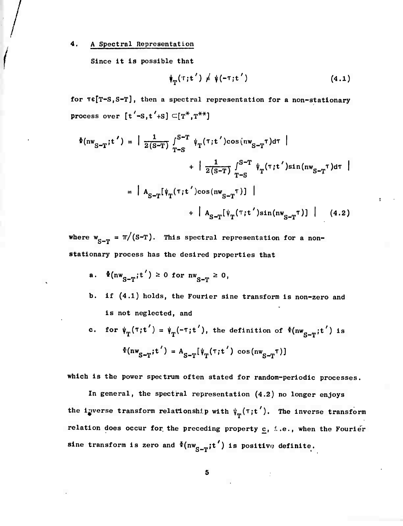### 4. <sup>A</sup> Spectral Representation

Since It la possible that

$$
\psi_T(\tau;t') \neq \psi(-\tau;t')
$$
 (4.1)

**for TGJT-SJS-T], then a spectral representation for a non-stationary process** over  $[t'-s, t'+s] \subset [T^*, T^{**}]$ 

$$
\Phi(\mathbf{nw}_{S-T};t') = \left| \frac{1}{2(S-T)} \int_{T-S}^{S-T} \psi_T(\tau;t') \cos(\mathbf{nw}_{S-T} \tau) d\tau \right| + \left| \frac{1}{2(S-T)} \int_{T-S}^{S-T} \psi_T(\tau;t') \sin(\mathbf{nw}_{S-T} \tau) d\tau \right|
$$

$$
= \left| A_{S-T} [\psi_T(\tau;t') \cos(\mathbf{nw}_{S-T} \tau)] \right| + \left| A_{S-T} [\psi_T(\tau;t') \sin(\mathbf{nw}_{S-T} \tau)] \right| \qquad (4.2)
$$

**where**  $w_{S-T} = \pi/(S-T)$ . This spectral representation for a non**stationary process has the desired properties that**

- **a**.  $\Phi(\mathbf{nw}_{\mathbf{S-T}}; \mathbf{t}') \ge 0$  for  $\mathbf{nw}_{\mathbf{S-T}} \ge 0$
- **b. if (4.1) holds, the Fourier sine transform is non-zero and is not neglected, and**
- **c.** for  $\psi_{\text{T}}(\tau;\textbf{t}') = \psi_{\text{T}}(-\tau;\textbf{t}')$ , the definition of  $\Phi(\text{nw}_{\text{c}-\text{T}};\textbf{t}')$  is  $\Phi(\mathbf{nw}_{\mathbf{S-T}}; \mathbf{t}') = \mathbf{A}_{\mathbf{S-T}}[\psi_{\mathbf{T}}(\tau; \mathbf{t}')) \cos(\mathbf{nw}_{\mathbf{S-T}}(\tau))$

**which is the power spectrum often stated for random-periodic processes.**

**In general, the spectral representation (4.2) no longer enjoys** the **i**gverse **transform relationship** with  $\psi_{\text{m}}(\tau; t')$ . The **inverse transform relation does occur for the preceding property c. I.e., when the Fourier sine transform is** zero and  $\Phi(\mathbf{nw_{S-T}}; t')$  **is** positive definite.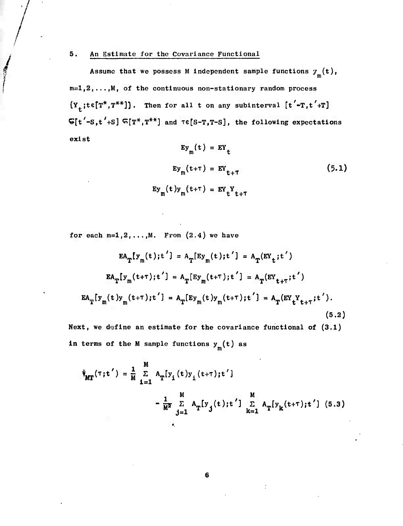### **5. An Estimate for the Covariance Functional**

**TECHNOLOGY** 

Assume that we possess M independent sample functions  $\tau_m(t)$ , **111=1,2,... (M, of the continuous non-stationary random process**  ${Y}_{t}$ ; $t \in [T^*, T^{**}]$ . Then for all t on any subinterval  $[t'-T, t'+T]$ **Cft'-S.t'+S] ^[T\*,T\*\*] and Te[s-T,T-S], the following expectations exist**

$$
Ey_{m}(t) = EY_{t}
$$
  
\n
$$
Ey_{m}(t+\tau) = EY_{t+\tau}
$$
  
\n
$$
Ey_{m}(t)y_{m}(t+\tau) = EY_{t}Y_{t+\tau}
$$
\n(5.1)

**for each**  $m=1,2,...,M$ . **Prom**  $(2.4)$  **we** have

$$
EA_T[y_m(t);t'] = A_T[Ey_m(t);t'] = A_T(EY_t;t')
$$
  
\n
$$
EA_T[y_m(t+T);t'] = A_T[Ey_m(t+T);t'] = A_T(EY_{t+T};t')
$$
  
\n
$$
EA_T[y_m(t)y_m(t+T);t'] = A_T[Ey_m(t)y_m(t+T);t'] = A_T(EY_tY_{t+T};t').
$$
\n(5.2)

**Next, we define an estimate for the covariance functional of (3.1) in terms of the M sample functions y (t) as m**

$$
\Psi_{\text{MT}}(\tau; t') = \frac{1}{M} \sum_{i=1}^{M} A_{\text{T}}[y_i(t)y_i(t+\tau); t']
$$
  

$$
- \frac{1}{M^2} \sum_{j=1}^{M} A_{\text{T}}[y_j(t); t'] \sum_{k=1}^{M} A_{\text{T}}[y_k(t+\tau); t'] \quad (5.3)
$$

 $\bf 6$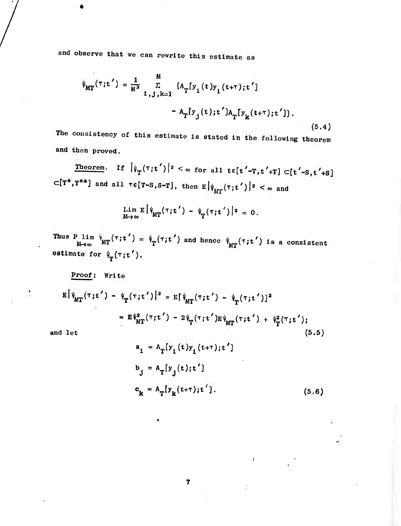and observe that we can rewrite this estimate as

$$
\psi_{MT}(\tau;t') = \frac{1}{M^3} \sum_{i,j,k=1}^{M} \left[ A_T[y_i(t)y_i(t+\tau);t'] - A_T[y_j(t);t']A_T[y_k(t+\tau);t'] \right].
$$
\n(5.4)

The consistency of this estimate is stated in the following theorem and then proved.

Theorem. If  $|\psi_T(\tau;t')|^2 < \infty$  for all te[t'-T,t'+T]  $\subset$ [t'-S,t'+S]  $\subset$ [T<sup>\*</sup>,T<sup>\*\*</sup>] and all  $\tau \in$ [T-S,S-T], then  $E |\psi_{MT}(\tau;t')|^{2} < \infty$  and

$$
\lim_{M\to\infty} E\left[\psi_{MT}(\tau;t') - \psi_{T}(\tau;t')\right]^{2} = 0.
$$

Thus P lim  $\psi_{\text{MT}}(\tau; t') = \psi_T(\tau; t')$  and hence  $\psi_{\text{MT}}(\tau; t')$  is a consistent estimate for  $\psi_T(\tau;t')$ .

Proof: Write

$$
E |\psi_{MT}(\tau;t') - \psi_{T}(\tau;t')|^{2} = E [\psi_{MT}(\tau;t') - \psi_{T}(\tau;t')]^{2}
$$
  

$$
= E \psi_{MT}^{2}(\tau;t') - 2 \psi_{T}(\tau;t') E \psi_{MT}(\tau;t') + \psi_{T}^{2}(\tau;t');
$$
  
i let (5.5)

 $\boldsymbol{7}$ 

 $\bullet$ 

and let

$$
a_{i} = A_{T}[y_{i}(t)y_{i}(t+T);t']
$$
  
\n
$$
b_{j} = A_{T}[y_{j}(t);t']
$$
  
\n
$$
c_{k} = A_{T}[y_{k}(t+T);t'].
$$
 (5.6)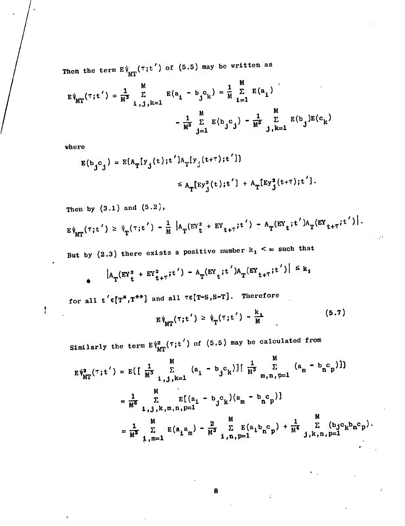**Then the term E\* (rjt') of (5.5) may be written as 'MT**

$$
E\psi_{MT}(\tau;t') = \frac{1}{M^3} \sum_{i,j,k=1}^{M} E(a_i - b_j c_k) = \frac{1}{M} \sum_{i=1}^{M} E(a_i)
$$

$$
- \frac{1}{M^2} \sum_{j=1}^{M} E(b_j c_j) - \frac{1}{M^2} \sum_{j,k=1}^{M} E(b_j)E(c_k)
$$

**where**

 $\mathbf{r}$ 

$$
E(b_j c_j) = E(A_T[y_j(t); t']A_T[y_j(t+T); t'])
$$
  

$$
\leq A_T[Ey_j^2(t); t'] + A_T[Ey_j^2(t+T); t'].
$$

**Then by (3.1) and (5.2),**

$$
E\psi_{MT}(\tau;t') \geq \psi_{T}(\tau;t') - \frac{1}{M} |A_{T}(EY_{t}^{2} + EY_{t+T};t') - A_{T}(EY_{t};t')A_{T}(EY_{t+T};t')|.
$$

But by  $(2.3)$  there exists a positive number  $k_1 < \infty$  such that

$$
|A_T(EY_t^2 + EY_{t+T}^2; t') - A_T(EY_t; t')A_T(EY_{t+T}; t')| \leq k_1
$$

**for all t'e[T\*,T\*\*] and all TG[T-S,S-T]. Therefore**

$$
E\psi_{MT}(\tau;t') \geq \psi_{T}(\tau;t') - \frac{k_1}{M}
$$
 (5.7)

÷

**Similarly** the **term**  $E\sqrt{\frac{2}{n}}$  ( $\tau$ ; t') of (5.5) may be calculated from

$$
\begin{aligned}\n\text{imilarity the term } \mathbb{E} \, \mathbb{V}_{\text{MT}}^{2}(\tau; t') & \text{of (5.5) may be calculated from} \\
\mathbb{E} \, \mathbb{V}_{\text{MT}}^{2}(\tau; t') &= \mathbb{E} \big[ \, \frac{1}{M^{3}} \sum_{i, j, k=1}^{M} \left( a_{i} - b_{j} c_{k} \right) \big] \big[ \, \frac{1}{M^{3}} \sum_{m, n, p=1}^{M} \left( a_{m} - b_{n} c_{p} \right) \big] \big] \\
&= \frac{1}{M^{6}} \sum_{i, j, k, m, n, p=1}^{M} \mathbb{E} \big[ \left( a_{i} - b_{j} c_{k} \right) \left( a_{m} - b_{n} c_{p} \right) \big] \\
&= \frac{1}{M^{2}} \sum_{i, m=1}^{M} \mathbb{E} \big( a_{i} a_{m} \big) - \frac{2}{M^{3}} \sum_{i, n, p=1}^{M} \mathbb{E} \big( a_{i} b_{n} c_{p} \big) + \frac{1}{M^{4}} \sum_{j, k, n, p=1}^{M} \big( b_{j} c_{k} b_{n} c_{p} \big) \\
&= \frac{1}{M^{2}} \sum_{i, m=1}^{M} \mathbb{E} \big( a_{i} a_{m} \big) - \frac{2}{M^{3}} \sum_{i, n, p=1}^{M} \mathbb{E} \big( a_{i} b_{n} c_{p} \big) + \frac{1}{M^{4}} \sum_{j, k, n, p=1}^{M} \big( b_{j} c_{k} b_{n} c_{p} \big) \\
&= \frac{1}{M^{2}} \sum_{i, m=1}^{M} \mathbb{E} \big( a_{i} a_{m} \big) - \frac{2}{M^{3}} \sum_{i, m=1}^{M} \mathbb{E} \big( a_{i} b_{m} c_{p} \big) + \frac{1}{M^{4}} \sum_{j, k, n, p=1}^{M} \big( b_{j} c_{k} b_{n} c_{p} \big) \\
&= \frac{1}{M^{2}} \sum_{i, m=1}^{M} \mathbb{E} \big( a_{i} a_{m} \big) - \frac{2}{M^{3}} \sum
$$

**8**

 $\ddot{\cdot}$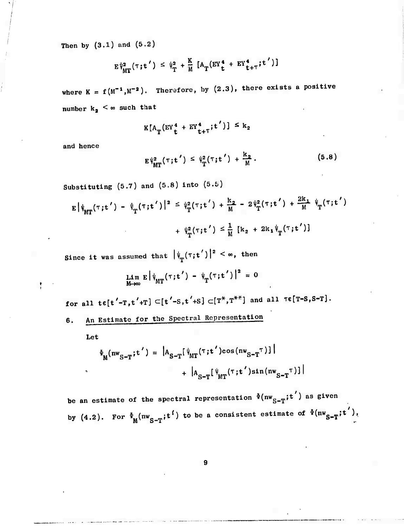Then by  $(3.1)$  and  $(5.2)$ 

and (5.2)  

$$
E \psi_{MT}^2(\tau; t') \leq \psi_{T}^2 + \frac{K}{M} [A_{T} (EY_{t}^4 + EY_{t+T}^4; t'])]
$$

where  $K = f(M^{-1}, M^{-2})$ . Therefore, by  $(2.3)$ , there exists a positive number  $k_2 < \infty$  such that

$$
K[A_T(EY_t^4 + EY_{t+T}^4; t')] \leq k_2
$$

and hence

$$
E\Psi_{MT}^{2}(\tau;t') \leq \Psi_{T}^{2}(\tau;t') + \frac{k_{2}}{M}.
$$
 (5.8)

Substituting  $(5.7)$  and  $(5.8)$  into  $(5.5)$ 

$$
E |\psi_{MT}(\tau;t') - \psi_{T}(\tau;t')|^{2} \leq \psi_{T}^{2}(\tau;t') + \frac{k_{2}}{M} - 2 \psi_{T}^{2}(\tau;t') + \frac{2k_{1}}{M} \psi_{T}(\tau;t')
$$
  
+  $\psi_{T}^{2}(\tau;t') \leq \frac{1}{M} [k_{2} + 2k_{1} \psi_{T}(\tau;t')]$ 

Since it was assumed that  $|\psi_{\sf m}(\tau;{\bf t}')|^2 < \infty$ , then

$$
\lim_{M\to\infty} E \left| \psi_{MT}(\tau;t') - \psi_{T}(\tau;t') \right|^2 = 0
$$

for all te[t'-T,t'+T]  $\subset$ [t'-S,t'+S]  $\subset$ [T<sup>\*</sup>,T<sup>\*\*</sup>] and all  $\tau$ e[T-S,S-T].

6. An Estimate for the Spectral Representation

Let

$$
\Phi_{M}(nw_{S-T}; t') = |A_{S-T}[ \psi_{MT}(\tau; t') \cos(nw_{S-T} \tau)]| + |A_{S-T}[ \psi_{MT}(\tau; t') \sin(nw_{S-T} \tau)]|
$$

be an estimate of the spectral representation  $\Phi(nw^S_{S-T};t')$  as given by (4.2). For  $\Phi_{\text{M}}(\text{nw}_{S-T}; t^{\text{f}})$  to be a consistent estimate of  $\Phi(\text{nw}_{S-T}; t^{\text{f}})$ ,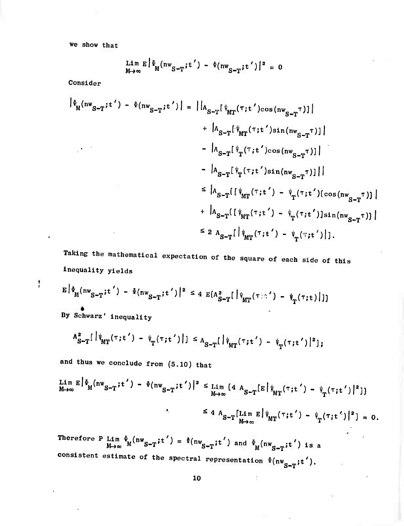we show that

$$
\lim_{M\to\infty} E\left[\Phi_M(nw_{S-T}^{\prime};t^{\prime}) - \Phi(nw_{S-T}^{\prime};t^{\prime})\right]^2 = 0
$$

Consider

$$
|\Phi_{M}(nw_{S-T};t') - \Phi(nw_{S-T};t')| = ||A_{S-T}[\psi_{MT}(\tau;t')cos(nw_{S-T}|\tau)]|
$$
  
+  $|A_{S-T}[\psi_{MT}(\tau;t')sin(nw_{S-T}|\tau)]|$   
-  $|A_{S-T}[\psi_{T}(\tau;t')cos(nw_{S-T}|\tau)]|$   
-  $|A_{S-T}[\psi_{T}(\tau;t')sin(nw_{S-T}|\tau)]|$   
 $\leq |A_{S-T}[(\psi_{MT}(\tau;t') - \psi_{T}(\tau;t'))(cos(nw_{S-T}|\tau)]|$   
+  $|A_{S-T}[(\psi_{MT}(\tau;t') - \psi_{T}(\tau;t'))]sin(nw_{S-T}|\tau)]$   
 $\leq 2 A_{S-T}[\psi_{MT}(\tau;t') - \psi_{T}(\tau;t')].$ 

Taking the mathematical expectation of the square of each side of this Inequality yields

$$
\mathbf{f}^{\prime}
$$

$$
E\left|\Phi_{M}(nw_{S-T};t') - \Phi(nw_{S-T};t')\right|^{2} \leq 4 E(A_{S-T}^{2}[\psi_{MT}(\tau) - \psi_{T}(\tau;t)]^{2})
$$

By Schwarz' inequality

$$
A_{S-T}^{2}[\n\psi_{MT}(\tau;t') - \psi_{T}(\tau;t')]\n] \leq A_{S-T}[\n\psi_{MT}(\tau;t') - \psi_{T}(\tau;t')|^{2}];
$$

and thus we conclude from (5.10) that

$$
\lim_{M \to \infty} E \left| \Phi_M(nw_{S-T}; t') - \Phi(nw_{S-T}; t') \right|^2 \leq \lim_{M \to \infty} \left\{ 4 A_{S-T} [E] \psi_{MT}(\tau; t') - \psi_T(\tau; t') \right\}^2 \right\}
$$
  

$$
\leq 4 A_{S-T} [\lim_{M \to \infty} E] \psi_{MT}(\tau; t') - \psi_T(\tau; t') \left| \right| = 0.
$$

 $\frac{1}{2}$ 

Therefore P Lim  $\Phi_{\mathbf{M}}(n\mathbf{w}_{s-m}; \mathbf{t}') = \Phi(n\mathbf{w}_{s-1}; \mathbf{t}')$  and  $\Phi(n\mathbf{w}_{s-1}; \mathbf{t}')$  $M\rightarrow\infty$   $M^{(nw)}S-T$ ;t ) =  $\Phi(nw_{S-T};t')$  and  $\Phi_M(nw_{S-T};t')$  is a consistent estimate of the spectral representation  $\Phi(nw_{n-1}:t^{\prime})$ .